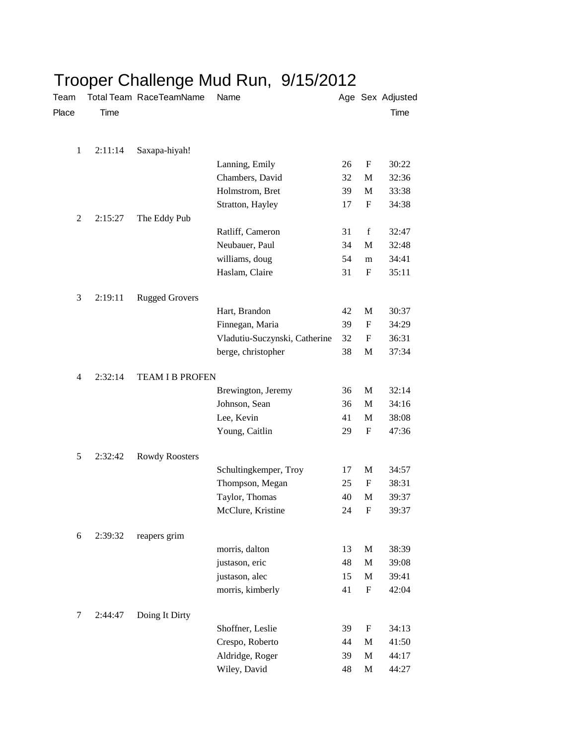| Team           |         | noopor omanongo<br>Total Team RaceTeamName | .<br>Name                     |    |              | Age Sex Adjusted |
|----------------|---------|--------------------------------------------|-------------------------------|----|--------------|------------------|
| Place          | Time    |                                            |                               |    |              | Time             |
|                |         |                                            |                               |    |              |                  |
| $\mathbf{1}$   | 2:11:14 | Saxapa-hiyah!                              |                               |    |              |                  |
|                |         |                                            | Lanning, Emily                | 26 | F            | 30:22            |
|                |         |                                            | Chambers, David               | 32 | M            | 32:36            |
|                |         |                                            | Holmstrom, Bret               | 39 | M            | 33:38            |
|                |         |                                            | Stratton, Hayley              | 17 | F            | 34:38            |
| $\overline{c}$ | 2:15:27 | The Eddy Pub                               |                               |    |              |                  |
|                |         |                                            | Ratliff, Cameron              | 31 | f            | 32:47            |
|                |         |                                            | Neubauer, Paul                | 34 | M            | 32:48            |
|                |         |                                            | williams, doug                | 54 | m            | 34:41            |
|                |         |                                            | Haslam, Claire                | 31 | F            | 35:11            |
| 3              | 2:19:11 | <b>Rugged Grovers</b>                      |                               |    |              |                  |
|                |         |                                            | Hart, Brandon                 | 42 | M            | 30:37            |
|                |         |                                            | Finnegan, Maria               | 39 | F            | 34:29            |
|                |         |                                            | Vladutiu-Suczynski, Catherine | 32 | F            | 36:31            |
|                |         |                                            | berge, christopher            | 38 | M            | 37:34            |
|                |         |                                            |                               |    |              |                  |
| $\overline{4}$ | 2:32:14 | <b>TEAM I B PROFEN</b>                     |                               |    |              |                  |
|                |         |                                            | Brewington, Jeremy            | 36 | M            | 32:14            |
|                |         |                                            | Johnson, Sean                 | 36 | M            | 34:16            |
|                |         |                                            | Lee, Kevin                    | 41 | M            | 38:08            |
|                |         |                                            | Young, Caitlin                | 29 | F            | 47:36            |
| 5              | 2:32:42 | Rowdy Roosters                             |                               |    |              |                  |
|                |         |                                            | Schultingkemper, Troy         | 17 | M            | 34:57            |
|                |         |                                            | Thompson, Megan               | 25 | F            | 38:31            |
|                |         |                                            | Taylor, Thomas                | 40 | M            | 39:37            |
|                |         |                                            | McClure, Kristine             | 24 | F            | 39:37            |
|                |         |                                            |                               |    |              |                  |
| 6              | 2:39:32 | reapers grim                               |                               |    |              |                  |
|                |         |                                            | morris, dalton                | 13 | $\mathbf M$  | 38:39            |
|                |         |                                            | justason, eric                | 48 | M            | 39:08            |
|                |         |                                            | justason, alec                | 15 | M            | 39:41            |
|                |         |                                            | morris, kimberly              | 41 | F            | 42:04            |
| 7              | 2:44:47 | Doing It Dirty                             |                               |    |              |                  |
|                |         |                                            | Shoffner, Leslie              | 39 | F            | 34:13            |
|                |         |                                            | Crespo, Roberto               | 44 | M            | 41:50            |
|                |         |                                            | Aldridge, Roger               | 39 | M            | 44:17            |
|                |         |                                            | Wiley, David                  | 48 | $\mathbf{M}$ | 44:27            |

## Trooper Challenge Mud Run, 9/15/2012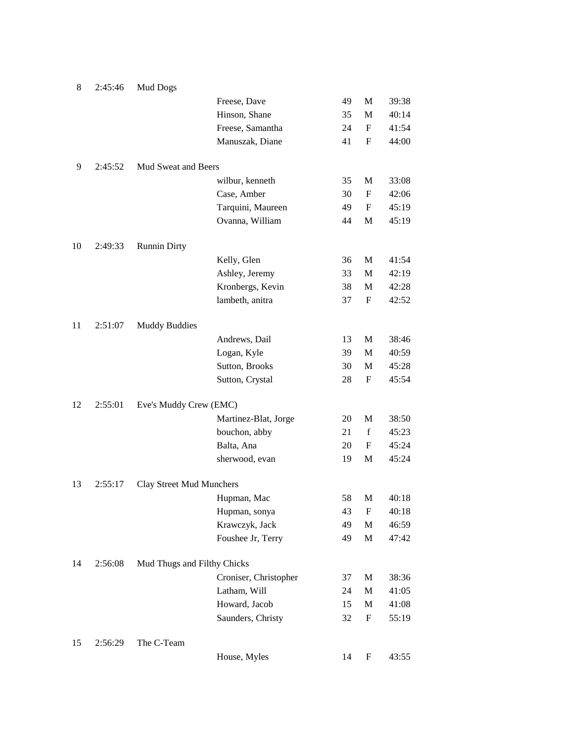| 8  | 2:45:46 | <b>Mud Dogs</b>             |                       |    |                           |       |
|----|---------|-----------------------------|-----------------------|----|---------------------------|-------|
|    |         |                             | Freese, Dave          | 49 | ${\bf M}$                 | 39:38 |
|    |         |                             | Hinson, Shane         | 35 | M                         | 40:14 |
|    |         |                             | Freese, Samantha      | 24 | F                         | 41:54 |
|    |         |                             | Manuszak, Diane       | 41 | $\mathbf F$               | 44:00 |
| 9  | 2:45:52 | Mud Sweat and Beers         |                       |    |                           |       |
|    |         |                             | wilbur, kenneth       | 35 | M                         | 33:08 |
|    |         |                             | Case, Amber           | 30 | F                         | 42:06 |
|    |         |                             | Tarquini, Maureen     | 49 | F                         | 45:19 |
|    |         |                             | Ovanna, William       | 44 | M                         | 45:19 |
| 10 | 2:49:33 | <b>Runnin Dirty</b>         |                       |    |                           |       |
|    |         |                             | Kelly, Glen           | 36 | М                         | 41:54 |
|    |         |                             | Ashley, Jeremy        | 33 | M                         | 42:19 |
|    |         |                             | Kronbergs, Kevin      | 38 | M                         | 42:28 |
|    |         |                             | lambeth, anitra       | 37 | F                         | 42:52 |
| 11 | 2:51:07 | <b>Muddy Buddies</b>        |                       |    |                           |       |
|    |         |                             | Andrews, Dail         | 13 | М                         | 38:46 |
|    |         |                             | Logan, Kyle           | 39 | M                         | 40:59 |
|    |         |                             | Sutton, Brooks        | 30 | М                         | 45:28 |
|    |         |                             | Sutton, Crystal       | 28 | F                         | 45:54 |
| 12 | 2:55:01 | Eve's Muddy Crew (EMC)      |                       |    |                           |       |
|    |         |                             | Martinez-Blat, Jorge  | 20 | M                         | 38:50 |
|    |         |                             | bouchon, abby         | 21 | $\mathbf f$               | 45:23 |
|    |         |                             | Balta, Ana            | 20 | F                         | 45:24 |
|    |         |                             | sherwood, evan        | 19 | M                         | 45:24 |
| 13 | 2:55:17 | Clay Street Mud Munchers    |                       |    |                           |       |
|    |         |                             | Hupman, Mac           | 58 | M                         | 40:18 |
|    |         |                             | Hupman, sonya         | 43 | F                         | 40:18 |
|    |         |                             | Krawczyk, Jack        | 49 | $\mathbf M$               | 46:59 |
|    |         |                             | Foushee Jr, Terry     | 49 | $\mathbf M$               | 47:42 |
| 14 | 2:56:08 | Mud Thugs and Filthy Chicks |                       |    |                           |       |
|    |         |                             | Croniser, Christopher | 37 | M                         | 38:36 |
|    |         |                             | Latham, Will          | 24 | M                         | 41:05 |
|    |         |                             | Howard, Jacob         | 15 | M                         | 41:08 |
|    |         |                             | Saunders, Christy     | 32 | $\boldsymbol{\mathrm{F}}$ | 55:19 |
| 15 | 2:56:29 | The C-Team                  |                       |    |                           |       |
|    |         |                             | House, Myles          | 14 | F                         | 43:55 |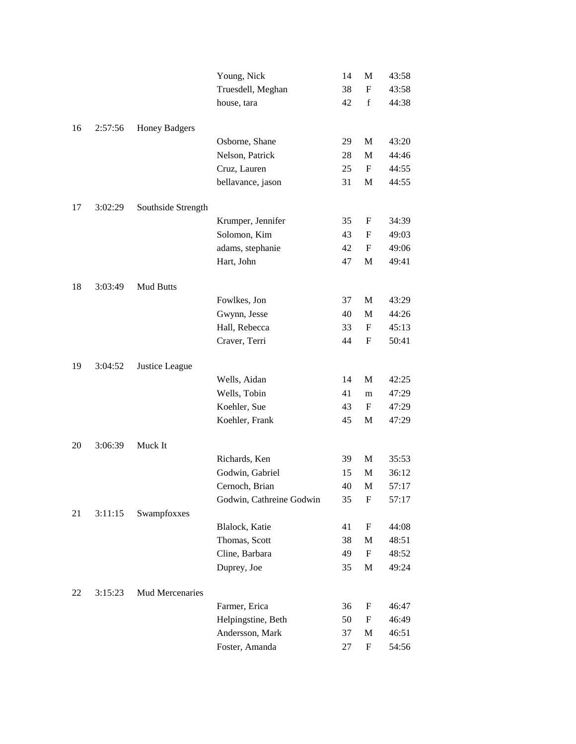|    |         |                      | Young, Nick              | 14 | M                         | 43:58 |
|----|---------|----------------------|--------------------------|----|---------------------------|-------|
|    |         |                      | Truesdell, Meghan        | 38 | $\mathbf{F}$              | 43:58 |
|    |         |                      | house, tara              | 42 | $\mathbf f$               | 44:38 |
|    |         |                      |                          |    |                           |       |
| 16 | 2:57:56 | <b>Honey Badgers</b> |                          |    |                           |       |
|    |         |                      | Osborne, Shane           | 29 | M                         | 43:20 |
|    |         |                      | Nelson, Patrick          | 28 | M                         | 44:46 |
|    |         |                      | Cruz, Lauren             | 25 | $\mathbf F$               | 44:55 |
|    |         |                      | bellavance, jason        | 31 | M                         | 44:55 |
|    |         |                      |                          |    |                           |       |
| 17 | 3:02:29 | Southside Strength   |                          |    |                           |       |
|    |         |                      | Krumper, Jennifer        | 35 | F                         | 34:39 |
|    |         |                      | Solomon, Kim             | 43 | F                         | 49:03 |
|    |         |                      | adams, stephanie         | 42 | F                         | 49:06 |
|    |         |                      | Hart, John               | 47 | $\mathbf{M}$              | 49:41 |
| 18 | 3:03:49 | Mud Butts            |                          |    |                           |       |
|    |         |                      | Fowlkes, Jon             | 37 | M                         | 43:29 |
|    |         |                      | Gwynn, Jesse             | 40 | M                         | 44:26 |
|    |         |                      | Hall, Rebecca            | 33 | F                         | 45:13 |
|    |         |                      | Craver, Terri            | 44 | F                         | 50:41 |
|    |         |                      |                          |    |                           |       |
| 19 | 3:04:52 | Justice League       |                          |    |                           |       |
|    |         |                      | Wells, Aidan             | 14 | M                         | 42:25 |
|    |         |                      | Wells, Tobin             | 41 | m                         | 47:29 |
|    |         |                      | Koehler, Sue             | 43 | F                         | 47:29 |
|    |         |                      | Koehler, Frank           | 45 | M                         | 47:29 |
|    |         |                      |                          |    |                           |       |
| 20 | 3:06:39 | Muck It              |                          |    |                           |       |
|    |         |                      | Richards, Ken            | 39 | M                         | 35:53 |
|    |         |                      | Godwin, Gabriel          | 15 | M                         | 36:12 |
|    |         |                      | Cernoch, Brian           | 40 | M                         | 57:17 |
|    |         |                      | Godwin, Cathreine Godwin | 35 | $\boldsymbol{F}$          | 57:17 |
| 21 | 3:11:15 | Swampfoxxes          |                          |    |                           |       |
|    |         |                      | Blalock, Katie           | 41 | F                         | 44:08 |
|    |         |                      | Thomas, Scott            | 38 | M                         | 48:51 |
|    |         |                      | Cline, Barbara           | 49 | F                         | 48:52 |
|    |         |                      | Duprey, Joe              | 35 | $\mathbf{M}$              | 49:24 |
| 22 | 3:15:23 | Mud Mercenaries      |                          |    |                           |       |
|    |         |                      | Farmer, Erica            | 36 | $\boldsymbol{\mathrm{F}}$ | 46:47 |
|    |         |                      | Helpingstine, Beth       | 50 | $\mathbf F$               | 46:49 |
|    |         |                      | Andersson, Mark          | 37 | M                         | 46:51 |
|    |         |                      | Foster, Amanda           | 27 | F                         | 54:56 |
|    |         |                      |                          |    |                           |       |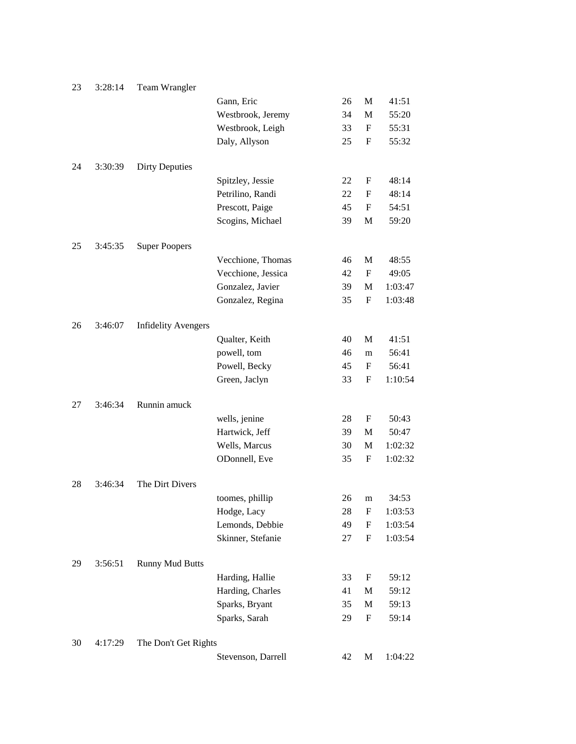| 23 | 3:28:14 | Team Wrangler              |                    |    |                           |         |
|----|---------|----------------------------|--------------------|----|---------------------------|---------|
|    |         |                            | Gann, Eric         | 26 | M                         | 41:51   |
|    |         |                            | Westbrook, Jeremy  | 34 | M                         | 55:20   |
|    |         |                            | Westbrook, Leigh   | 33 | F                         | 55:31   |
|    |         |                            | Daly, Allyson      | 25 | $\boldsymbol{\mathrm{F}}$ | 55:32   |
| 24 | 3:30:39 | <b>Dirty Deputies</b>      |                    |    |                           |         |
|    |         |                            | Spitzley, Jessie   | 22 | F                         | 48:14   |
|    |         |                            | Petrilino, Randi   | 22 | F                         | 48:14   |
|    |         |                            | Prescott, Paige    | 45 | F                         | 54:51   |
|    |         |                            | Scogins, Michael   | 39 | M                         | 59:20   |
| 25 | 3:45:35 | <b>Super Poopers</b>       |                    |    |                           |         |
|    |         |                            | Vecchione, Thomas  | 46 | M                         | 48:55   |
|    |         |                            | Vecchione, Jessica | 42 | F                         | 49:05   |
|    |         |                            | Gonzalez, Javier   | 39 | M                         | 1:03:47 |
|    |         |                            | Gonzalez, Regina   | 35 | F                         | 1:03:48 |
| 26 | 3:46:07 | <b>Infidelity Avengers</b> |                    |    |                           |         |
|    |         |                            | Qualter, Keith     | 40 | M                         | 41:51   |
|    |         |                            | powell, tom        | 46 | m                         | 56:41   |
|    |         |                            | Powell, Becky      | 45 | F                         | 56:41   |
|    |         |                            | Green, Jaclyn      | 33 | F                         | 1:10:54 |
| 27 | 3:46:34 | Runnin amuck               |                    |    |                           |         |
|    |         |                            | wells, jenine      | 28 | F                         | 50:43   |
|    |         |                            | Hartwick, Jeff     | 39 | M                         | 50:47   |
|    |         |                            | Wells, Marcus      | 30 | M                         | 1:02:32 |
|    |         |                            | ODonnell, Eve      | 35 | F                         | 1:02:32 |
| 28 | 3:46:34 | The Dirt Divers            |                    |    |                           |         |
|    |         |                            | toomes, phillip    | 26 | m                         | 34:53   |
|    |         |                            | Hodge, Lacy        | 28 | $\boldsymbol{F}$          | 1:03:53 |
|    |         |                            | Lemonds, Debbie    | 49 | F                         | 1:03:54 |
|    |         |                            | Skinner, Stefanie  | 27 | F                         | 1:03:54 |
| 29 | 3:56:51 | <b>Runny Mud Butts</b>     |                    |    |                           |         |
|    |         |                            | Harding, Hallie    | 33 | F                         | 59:12   |
|    |         |                            | Harding, Charles   | 41 | M                         | 59:12   |
|    |         |                            | Sparks, Bryant     | 35 | M                         | 59:13   |
|    |         |                            | Sparks, Sarah      | 29 | F                         | 59:14   |
| 30 | 4:17:29 | The Don't Get Rights       |                    |    |                           |         |
|    |         |                            | Stevenson, Darrell | 42 | M                         | 1:04:22 |